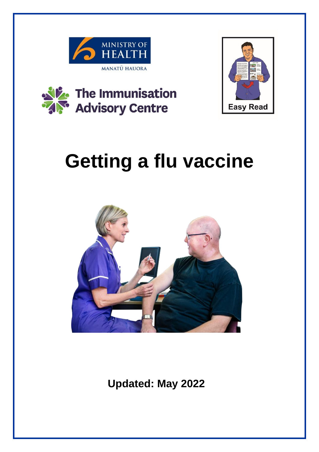





# **Getting a flu vaccine**



**Updated: May 2022**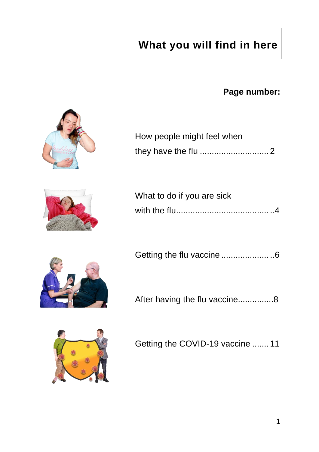## **What you will find in here**

**Page number:**



| How people might feel when |  |
|----------------------------|--|
|                            |  |

| What to do if you are sick |  |
|----------------------------|--|
|                            |  |

|  | Getting the flu vaccine 6 |  |
|--|---------------------------|--|
|--|---------------------------|--|

After having the flu vaccine...............8

Getting the COVID-19 vaccine ....... 11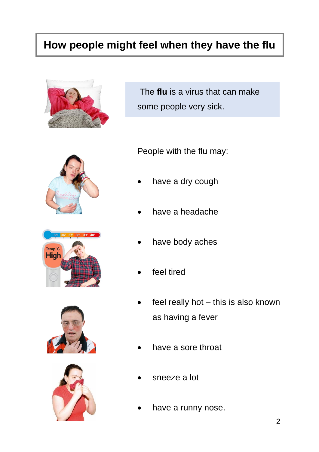#### **How people might feel when they have the flu**



The **flu** is a virus that can make some people very sick.









People with the flu may:

- have a dry cough
- have a headache
- have body aches
- feel tired
- feel really hot  $-$  this is also known as having a fever
- have a sore throat
- sneeze a lot
- have a runny nose.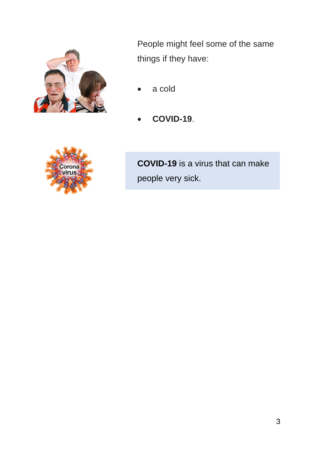

People might feel some of the same things if they have:

- a cold
- **COVID-19**.



**COVID-19** is a virus that can make people very sick.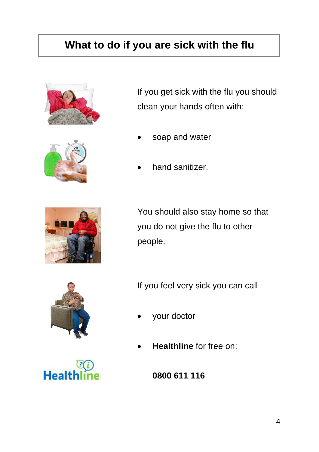### **What to do if you are sick with the flu**





If you get sick with the flu you should clean your hands often with:

- soap and water
- hand sanitizer.



You should also stay home so that you do not give the flu to other people.



If you feel very sick you can call

- your doctor
- **Healthline** for free on:

Heal

**0800 611 116**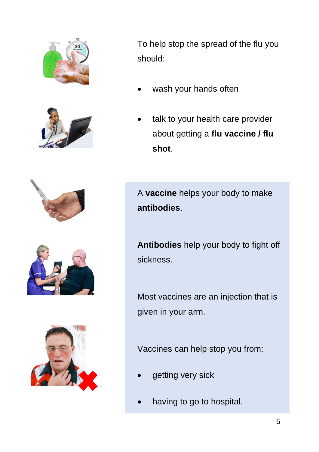



To help stop the spread of the flu you should:

- wash your hands often
- talk to your health care provider about getting a **flu vaccine / flu shot**.





A **vaccine** helps your body to make **antibodies**.

**Antibodies** help your body to fight off sickness.

Most vaccines are an injection that is given in your arm.

Vaccines can help stop you from:

- getting very sick
- having to go to hospital.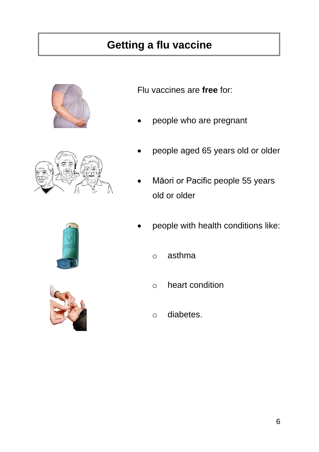### **Getting a flu vaccine**





Flu vaccines are **free** for:

- people who are pregnant
- people aged 65 years old or older
- Māori or Pacific people 55 years old or older
- people with health conditions like:
	- o asthma
	- o heart condition
	- o diabetes.

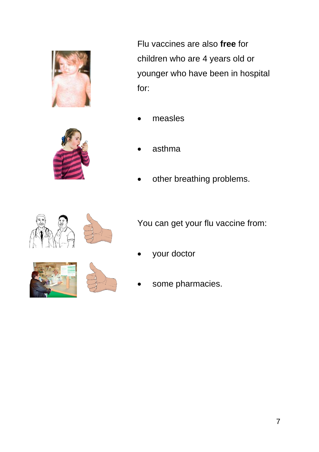



Flu vaccines are also **free** for children who are 4 years old or younger who have been in hospital for:

- measles
- asthma
- other breathing problems.



You can get your flu vaccine from:

your doctor



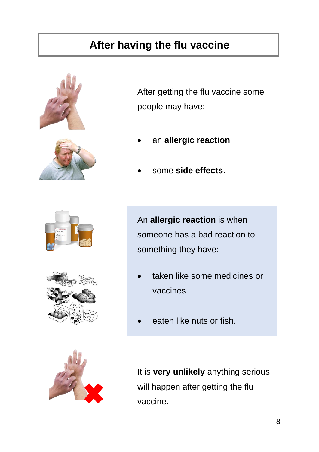#### **After having the flu vaccine**





After getting the flu vaccine some people may have:

- an **allergic reaction**
- some **side effects**.





An **allergic reaction** is when someone has a bad reaction to something they have:

- taken like some medicines or vaccines
- eaten like nuts or fish.



It is **very unlikely** anything serious will happen after getting the flu vaccine.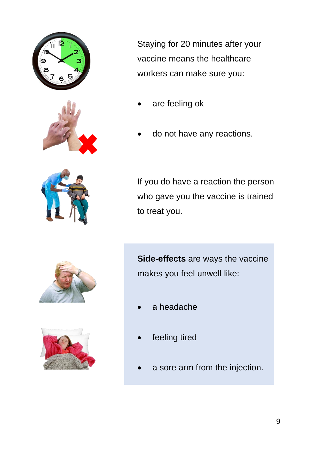



Staying for 20 minutes after your vaccine means the healthcare workers can make sure you:

- are feeling ok
- do not have any reactions.



If you do have a reaction the person who gave you the vaccine is trained to treat you.





**Side-effects** are ways the vaccine makes you feel unwell like:

- a headache
- feeling tired
- a sore arm from the injection.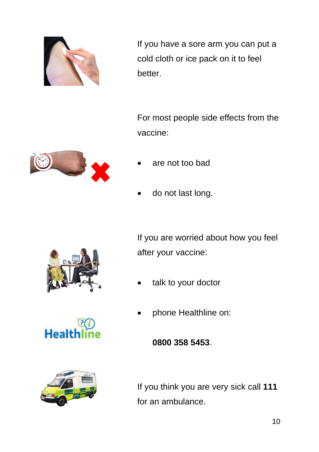

If you have a sore arm you can put a cold cloth or ice pack on it to feel better.

For most people side effects from the vaccine:



- are not too bad
- do not last long.



If you are worried about how you feel after your vaccine:

talk to your doctor

• phone Healthline on:

**Healt** 

**0800 358 5453**.



If you think you are very sick call **111** for an ambulance.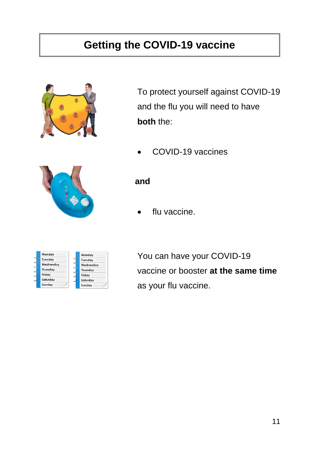### **Getting the COVID-19 vaccine**



To protect yourself against COVID-19 and the flu you will need to have **both** the:

• COVID-19 vaccines



#### **and**

flu vaccine.

| Monday    | Monday    |
|-----------|-----------|
| Tuesday   | Tuesday   |
| Wednesday | Wednesday |
| Thursday  | Thursday  |
| Friday    | Friday    |
| Saturday  | Saturday  |
| Sunday    | Sunday    |

You can have your COVID-19 vaccine or booster **at the same time** as your flu vaccine.